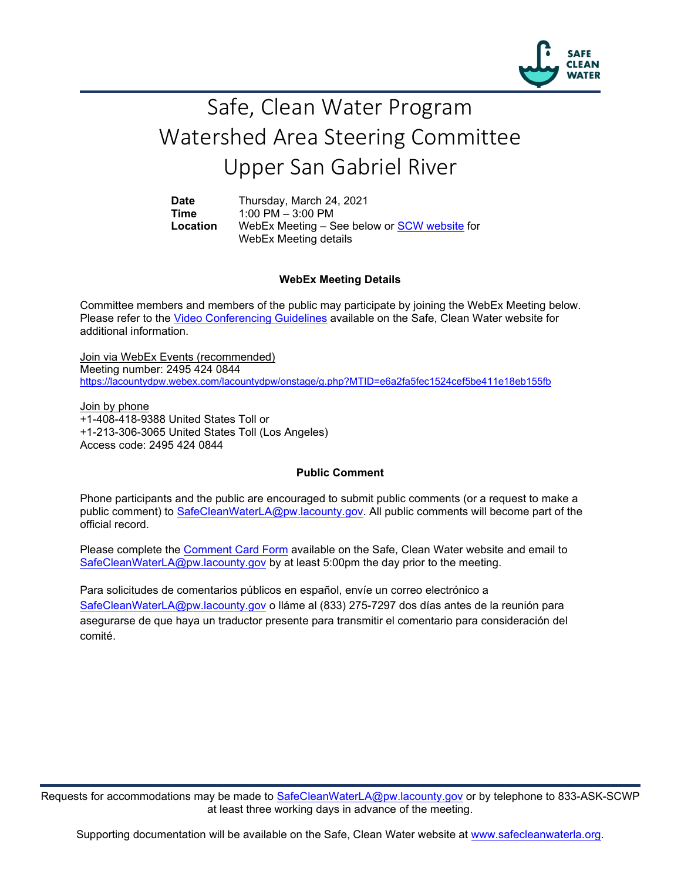

## Safe, Clean Water Program Watershed Area Steering Committee Upper San Gabriel River

**Date** Thursday, March 24, 2021<br>**Time** 1:00 PM - 3:00 PM **Time** 1:00 PM – 3:00 PM **Location** WebEx Meeting – See below or [SCW website](https://safecleanwaterla.org/upper-san-gabriel-river-watershed-area/) for WebEx Meeting details

## **WebEx Meeting Details**

Committee members and members of the public may participate by joining the WebEx Meeting below. Please refer to the [Video Conferencing Guidelines](https://safecleanwaterla.org/video-conference-guidelines/) available on the Safe, Clean Water website for additional information.

Join via WebEx Events (recommended) Meeting number: 2495 424 0844 <https://lacountydpw.webex.com/lacountydpw/onstage/g.php?MTID=e6a2fa5fec1524cef5be411e18eb155fb>

Join by phone +1-408-418-9388 United States Toll or +1-213-306-3065 United States Toll (Los Angeles) Access code: 2495 424 0844

## **Public Comment**

Phone participants and the public are encouraged to submit public comments (or a request to make a public comment) to [SafeCleanWaterLA@pw.lacounty.gov.](mailto:SafeCleanWaterLA@pw.lacounty.gov) All public comments will become part of the official record.

Please complete the Comment [Card Form](https://safecleanwaterla.org/wp-content/uploads/2020/04/Comment-Card-Form.pdf) available on the Safe, Clean Water website and email to [SafeCleanWaterLA@pw.lacounty.gov](mailto:SafeCleanWaterLA@pw.lacounty.govb) by at least 5:00pm the day prior to the meeting.

Para solicitudes de comentarios públicos en español, envíe un correo electrónico a [SafeCleanWaterLA@pw.lacounty.gov](mailto:SafeCleanWaterLA@pw.lacounty.gov) o lláme al (833) 275-7297 dos días antes de la reunión para asegurarse de que haya un traductor presente para transmitir el comentario para consideración del comité.

Requests for accommodations may be made to [SafeCleanWaterLA@pw.lacounty.gov](mailto:SafeCleanWaterLA@pw.lacounty.gov) or by telephone to 833-ASK-SCWP at least three working days in advance of the meeting.